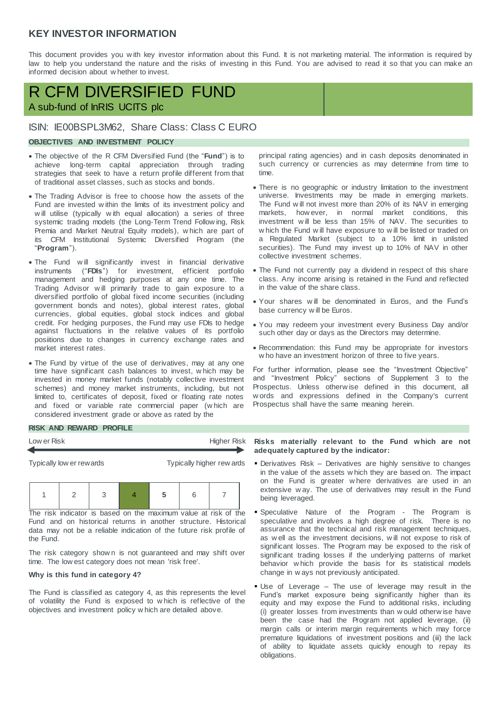## **KEY INVESTOR INFORMATION**

This document provides you w ith key investor information about this Fund. It is not marketing material. The information is required by law to help you understand the nature and the risks of investing in this Fund. You are advised to read it so that you can make an informed decision about w hether to invest.

# R CFM DIVERSIFIED FUND A sub-fund of InRIS UCITS plc

## ISIN: IE00BSPL3M62, Share Class: Class C EURO

### **OBJECTIVES AND INVESTMENT POLICY**

- The objective of the R CFM Diversified Fund (the "**Fund**") is to achieve long-term capital appreciation through trading strategies that seek to have a return profile different from that of traditional asset classes, such as stocks and bonds.
- The Trading Advisor is free to choose how the assets of the Fund are invested w ithin the limits of its investment policy and w ill utilise (typically w ith equal allocation) a series of three systemic trading models (the Long-Term Trend Follow ing, Risk Premia and Market Neutral Equity models), w hich are part of its CFM Institutional Systemic Diversified Program (the "**Program**").
- The Fund w ill significantly invest in financial derivative instruments ("**FDIs**") for investment, efficient portfolio management and hedging purposes at any one time. The Trading Advisor w ill primarily trade to gain exposure to a diversified portfolio of global fixed income securities (including government bonds and notes), global interest rates, global currencies, global equities, global stock indices and global credit. For hedging purposes, the Fund may use FDIs to hedge against fluctuations in the relative values of its portfolio posiitions due to changes in currency exchange rates and market interest rates.
- The Fund by virtue of the use of derivatives, may at any one time have significant cash balances to invest, w hich may be invested in money market funds (notably collective investment schemes) and money market instruments, including, but not limited to, certificates of deposit, fixed or floating rate notes and fixed or variable rate commercial paper (w hich are considered investment grade or above as rated by the

principal rating agencies) and in cash deposits denominated in such currency or currencies as may determine from time to time.

- There is no geographic or industry limitation to the investment universe. Investments may be made in emerging markets. The Fund w ill not invest more than 20% of its NAV in emerging markets, how ever, in normal market conditions, this investment w ill be less than 15% of NAV. The securities to w hich the Fund w ill have exposure to w ill be listed or traded on a Regulated Market (subject to a 10% limit in unlisted securities). The Fund may invest up to 10% of NAV in other collective investment schemes.
- The Fund not currently pay a dividend in respect of this share class. Any income arising is retained in the Fund and reflected in the value of the share class.
- Your shares w ill be denominated in Euros, and the Fund's base currency w ill be Euros.
- You may redeem your investment every Business Day and/or such other day or days as the Directors may determine.
- Recommendation: this Fund may be appropriate for investors w ho have an investment horizon of three to five years.

For further information, please see the "Investment Objective" and "Investment Policy" sections of Supplement 3 to the Prospectus. Unless otherw ise defined in this document, all w ords and expressions defined in the Company's current Prospectus shall have the same meaning herein.

#### **RISK AND REWARD PROFILE**



1 2 3 4 **5** 6 7

The risk indicator is based on the maximum value at risk of the Fund and on historical returns in another structure. Historical data may not be a reliable indication of the future risk profile of the Fund.

The risk category shown is not guaranteed and may shift over time. The low est category does not mean 'risk free'.

#### **Why is this fund in category 4?**

The Fund is classified as category 4, as this represents the level of volatility the Fund is exposed to w hich is reflective of the objectives and investment policy w hich are detailed above.

**adequately captured by the indicator:** 

- Derivatives Risk Derivatives are highly sensitive to changes in the value of the assets w hich they are based on. The impact on the Fund is greater w here derivatives are used in an extensive w ay. The use of derivatives may result in the Fund being leveraged.
- Speculative Nature of the Program The Program is speculative and involves a high degree of risk. There is no assurance that the technical and risk management techniques, as w ell as the investment decisions, w ill not expose to risk of significant losses. The Program may be exposed to the risk of significant trading losses if the underlying patterns of market behavior w hich provide the basis for its statistical models change in w ays not previously anticipated.
- Use of Leverage The use of leverage may result in the Fund's market exposure being significantly higher than its equity and may expose the Fund to additional risks, including (i) greater losses from investments than w ould otherw ise have been the case had the Program not applied leverage, (ii) margin calls or interim margin requirements w hich may force premature liquidations of investment positions and (iii) the lack of ability to liquidate assets quickly enough to repay its obligations.